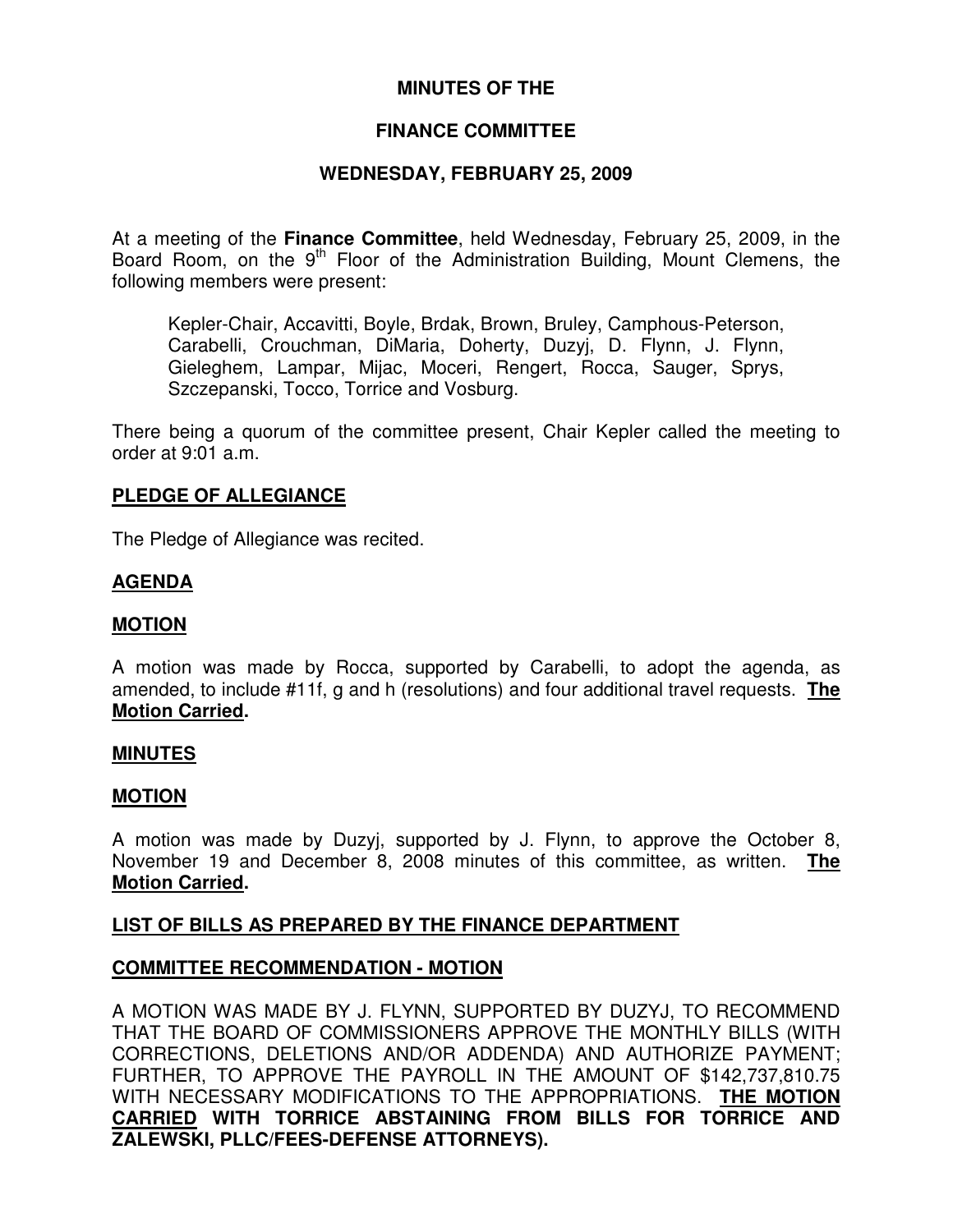# **MINUTES OF THE**

# **FINANCE COMMITTEE**

# **WEDNESDAY, FEBRUARY 25, 2009**

At a meeting of the **Finance Committee**, held Wednesday, February 25, 2009, in the Board Room, on the 9<sup>th</sup> Floor of the Administration Building, Mount Clemens, the following members were present:

Kepler-Chair, Accavitti, Boyle, Brdak, Brown, Bruley, Camphous-Peterson, Carabelli, Crouchman, DiMaria, Doherty, Duzyj, D. Flynn, J. Flynn, Gieleghem, Lampar, Mijac, Moceri, Rengert, Rocca, Sauger, Sprys, Szczepanski, Tocco, Torrice and Vosburg.

There being a quorum of the committee present, Chair Kepler called the meeting to order at 9:01 a.m.

### **PLEDGE OF ALLEGIANCE**

The Pledge of Allegiance was recited.

# **AGENDA**

### **MOTION**

A motion was made by Rocca, supported by Carabelli, to adopt the agenda, as amended, to include #11f, g and h (resolutions) and four additional travel requests. **The Motion Carried.**

### **MINUTES**

### **MOTION**

A motion was made by Duzyj, supported by J. Flynn, to approve the October 8, November 19 and December 8, 2008 minutes of this committee, as written. **The Motion Carried.**

### **LIST OF BILLS AS PREPARED BY THE FINANCE DEPARTMENT**

### **COMMITTEE RECOMMENDATION - MOTION**

A MOTION WAS MADE BY J. FLYNN, SUPPORTED BY DUZYJ, TO RECOMMEND THAT THE BOARD OF COMMISSIONERS APPROVE THE MONTHLY BILLS (WITH CORRECTIONS, DELETIONS AND/OR ADDENDA) AND AUTHORIZE PAYMENT; FURTHER, TO APPROVE THE PAYROLL IN THE AMOUNT OF \$142,737,810.75 WITH NECESSARY MODIFICATIONS TO THE APPROPRIATIONS. **THE MOTION CARRIED WITH TORRICE ABSTAINING FROM BILLS FOR TORRICE AND ZALEWSKI, PLLC/FEES-DEFENSE ATTORNEYS).**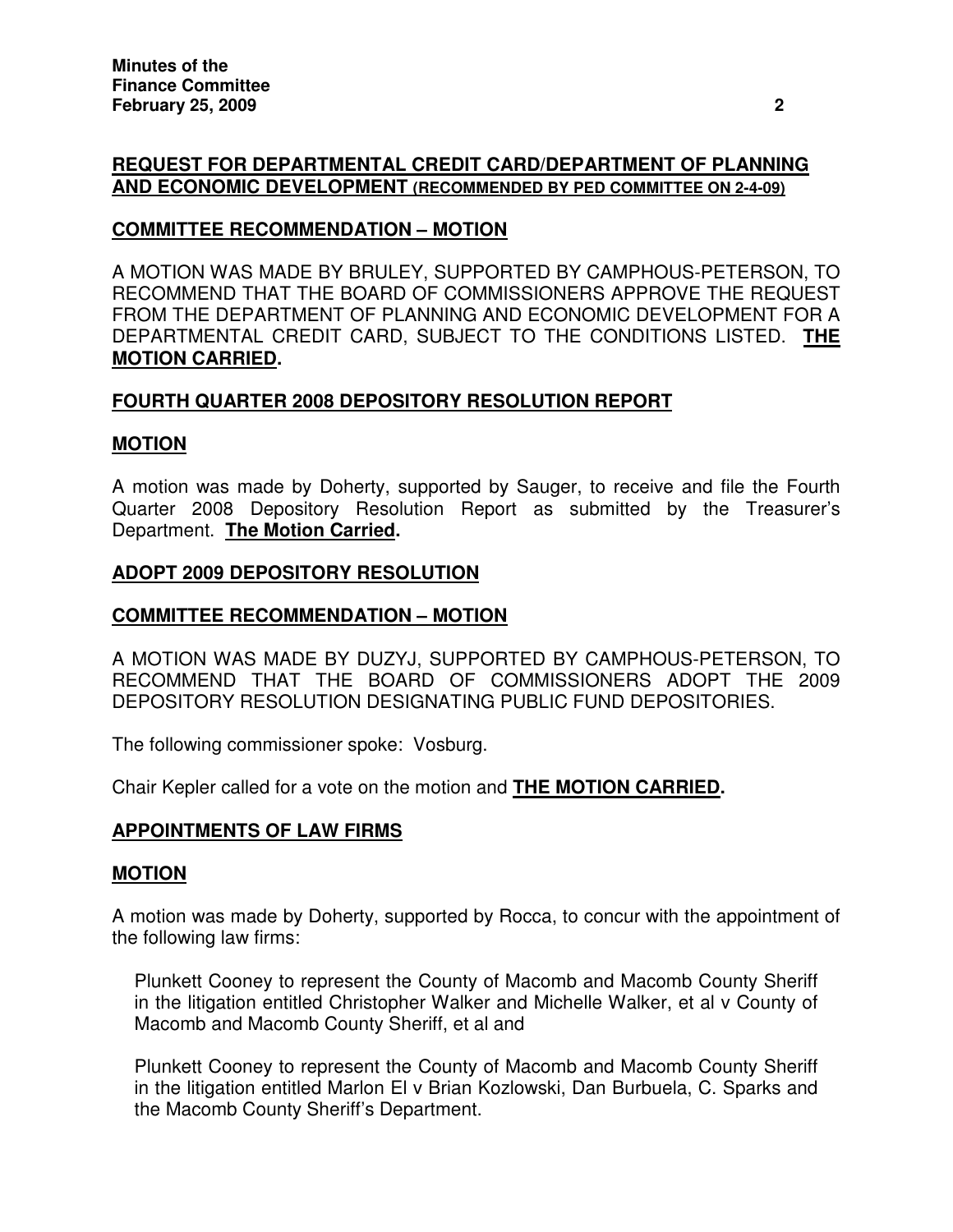# **REQUEST FOR DEPARTMENTAL CREDIT CARD/DEPARTMENT OF PLANNING AND ECONOMIC DEVELOPMENT (RECOMMENDED BY PED COMMITTEE ON 2-4-09)**

# **COMMITTEE RECOMMENDATION – MOTION**

A MOTION WAS MADE BY BRULEY, SUPPORTED BY CAMPHOUS-PETERSON, TO RECOMMEND THAT THE BOARD OF COMMISSIONERS APPROVE THE REQUEST FROM THE DEPARTMENT OF PLANNING AND ECONOMIC DEVELOPMENT FOR A DEPARTMENTAL CREDIT CARD, SUBJECT TO THE CONDITIONS LISTED. **THE MOTION CARRIED.**

# **FOURTH QUARTER 2008 DEPOSITORY RESOLUTION REPORT**

# **MOTION**

A motion was made by Doherty, supported by Sauger, to receive and file the Fourth Quarter 2008 Depository Resolution Report as submitted by the Treasurer's Department. **The Motion Carried.**

### **ADOPT 2009 DEPOSITORY RESOLUTION**

# **COMMITTEE RECOMMENDATION – MOTION**

A MOTION WAS MADE BY DUZYJ, SUPPORTED BY CAMPHOUS-PETERSON, TO RECOMMEND THAT THE BOARD OF COMMISSIONERS ADOPT THE 2009 DEPOSITORY RESOLUTION DESIGNATING PUBLIC FUND DEPOSITORIES.

The following commissioner spoke: Vosburg.

Chair Kepler called for a vote on the motion and **THE MOTION CARRIED.**

# **APPOINTMENTS OF LAW FIRMS**

### **MOTION**

A motion was made by Doherty, supported by Rocca, to concur with the appointment of the following law firms:

Plunkett Cooney to represent the County of Macomb and Macomb County Sheriff in the litigation entitled Christopher Walker and Michelle Walker, et al v County of Macomb and Macomb County Sheriff, et al and

Plunkett Cooney to represent the County of Macomb and Macomb County Sheriff in the litigation entitled Marlon El v Brian Kozlowski, Dan Burbuela, C. Sparks and the Macomb County Sheriff's Department.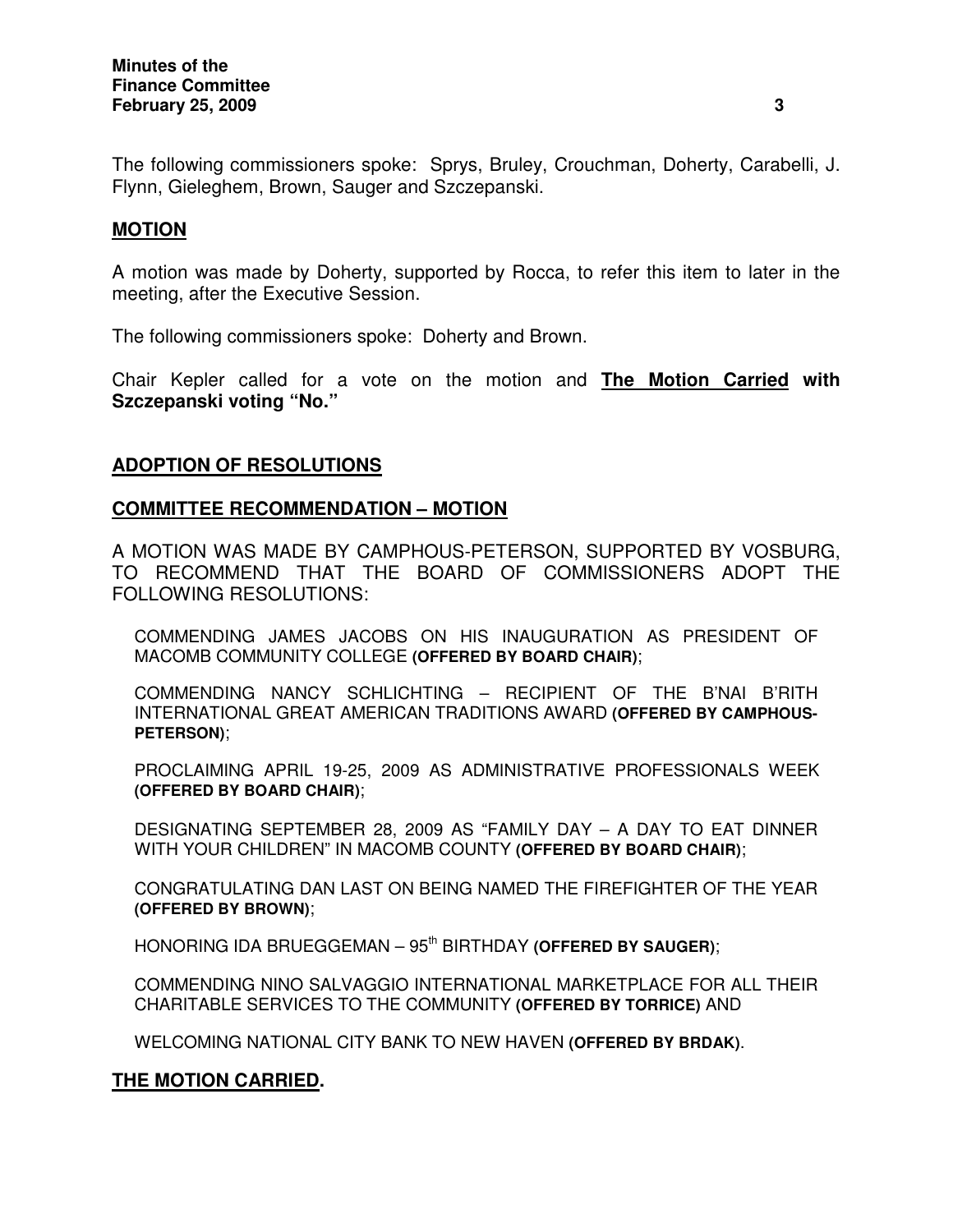The following commissioners spoke: Sprys, Bruley, Crouchman, Doherty, Carabelli, J. Flynn, Gieleghem, Brown, Sauger and Szczepanski.

# **MOTION**

A motion was made by Doherty, supported by Rocca, to refer this item to later in the meeting, after the Executive Session.

The following commissioners spoke: Doherty and Brown.

Chair Kepler called for a vote on the motion and **The Motion Carried with Szczepanski voting "No."**

# **ADOPTION OF RESOLUTIONS**

### **COMMITTEE RECOMMENDATION – MOTION**

A MOTION WAS MADE BY CAMPHOUS-PETERSON, SUPPORTED BY VOSBURG, TO RECOMMEND THAT THE BOARD OF COMMISSIONERS ADOPT THE FOLLOWING RESOLUTIONS:

COMMENDING JAMES JACOBS ON HIS INAUGURATION AS PRESIDENT OF MACOMB COMMUNITY COLLEGE **(OFFERED BY BOARD CHAIR)**;

COMMENDING NANCY SCHLICHTING – RECIPIENT OF THE B'NAI B'RITH INTERNATIONAL GREAT AMERICAN TRADITIONS AWARD **(OFFERED BY CAMPHOUS-PETERSON)**;

PROCLAIMING APRIL 19-25, 2009 AS ADMINISTRATIVE PROFESSIONALS WEEK **(OFFERED BY BOARD CHAIR)**;

DESIGNATING SEPTEMBER 28, 2009 AS "FAMILY DAY – A DAY TO EAT DINNER WITH YOUR CHILDREN" IN MACOMB COUNTY **(OFFERED BY BOARD CHAIR)**;

CONGRATULATING DAN LAST ON BEING NAMED THE FIREFIGHTER OF THE YEAR **(OFFERED BY BROWN)**;

HONORING IDA BRUEGGEMAN – 95 th BIRTHDAY **(OFFERED BY SAUGER)**;

COMMENDING NINO SALVAGGIO INTERNATIONAL MARKETPLACE FOR ALL THEIR CHARITABLE SERVICES TO THE COMMUNITY **(OFFERED BY TORRICE)** AND

WELCOMING NATIONAL CITY BANK TO NEW HAVEN **(OFFERED BY BRDAK)**.

# **THE MOTION CARRIED.**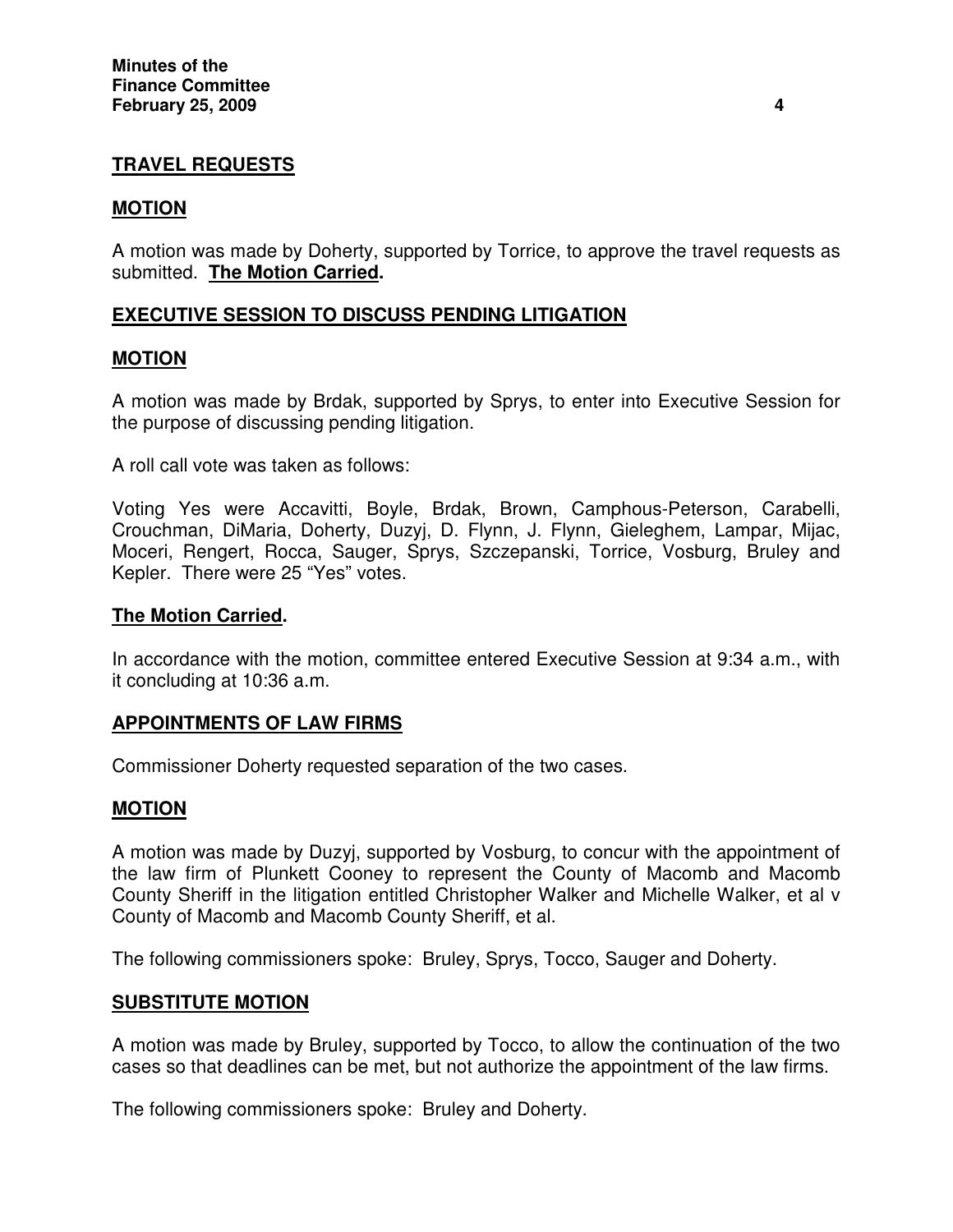# **TRAVEL REQUESTS**

### **MOTION**

A motion was made by Doherty, supported by Torrice, to approve the travel requests as submitted. **The Motion Carried.**

# **EXECUTIVE SESSION TO DISCUSS PENDING LITIGATION**

### **MOTION**

A motion was made by Brdak, supported by Sprys, to enter into Executive Session for the purpose of discussing pending litigation.

A roll call vote was taken as follows:

Voting Yes were Accavitti, Boyle, Brdak, Brown, Camphous-Peterson, Carabelli, Crouchman, DiMaria, Doherty, Duzyj, D. Flynn, J. Flynn, Gieleghem, Lampar, Mijac, Moceri, Rengert, Rocca, Sauger, Sprys, Szczepanski, Torrice, Vosburg, Bruley and Kepler. There were 25 "Yes" votes.

### **The Motion Carried.**

In accordance with the motion, committee entered Executive Session at 9:34 a.m., with it concluding at 10:36 a.m.

# **APPOINTMENTS OF LAW FIRMS**

Commissioner Doherty requested separation of the two cases.

### **MOTION**

A motion was made by Duzyj, supported by Vosburg, to concur with the appointment of the law firm of Plunkett Cooney to represent the County of Macomb and Macomb County Sheriff in the litigation entitled Christopher Walker and Michelle Walker, et al v County of Macomb and Macomb County Sheriff, et al.

The following commissioners spoke: Bruley, Sprys, Tocco, Sauger and Doherty.

### **SUBSTITUTE MOTION**

A motion was made by Bruley, supported by Tocco, to allow the continuation of the two cases so that deadlines can be met, but not authorize the appointment of the law firms.

The following commissioners spoke: Bruley and Doherty.